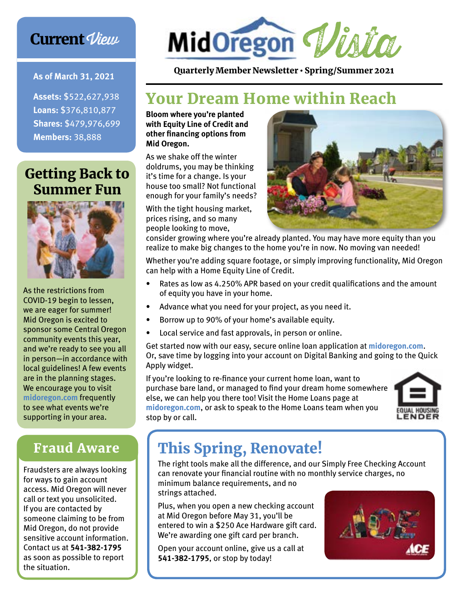## **Current View**

#### **As of March 31, 2021**

**Assets:** \$522,627,938 **Loans:** \$376,810,877 **Shares:** \$479,976,699 **Members:** 38,888

## Getting Back to Summer Fun



As the restrictions from COVID-19 begin to lessen, we are eager for summer! Mid Oregon is excited to sponsor some Central Oregon community events this year, and we're ready to see you all in person—in accordance with local guidelines! A few events are in the planning stages. We encourage you to visit **midoregon.com** frequently to see what events we're supporting in your area.

### Fraud Aware

Fraudsters are always looking for ways to gain account access. Mid Oregon will never call or text you unsolicited. If you are contacted by someone claiming to be from Mid Oregon, do not provide sensitive account information. Contact us at **541-382-1795** as soon as possible to report the situation.



Quarterly Member Newsletter • Spring/Summer 2021

## Your Dream Home within Reach

**Bloom where you're planted with Equity Line of Credit and other financing options from Mid Oregon.**

As we shake off the winter doldrums, you may be thinking it's time for a change. Is your house too small? Not functional enough for your family's needs?

With the tight housing market, prices rising, and so many people looking to move,



consider growing where you're already planted. You may have more equity than you realize to make big changes to the home you're in now. No moving van needed!

Whether you're adding square footage, or simply improving functionality, Mid Oregon can help with a Home Equity Line of Credit.

- Rates as low as 4.250% APR based on your credit qualifications and the amount of equity you have in your home.
- Advance what you need for your project, as you need it.
- Borrow up to 90% of your home's available equity.
- Local service and fast approvals, in person or online.

Get started now with our easy, secure online loan application at **midoregon.com**. Or, save time by logging into your account on Digital Banking and going to the Quick Apply widget.

If you're looking to re-finance your current home loan, want to purchase bare land, or managed to find your dream home somewhere else, we can help you there too! Visit the Home Loans page at **midoregon.com**, or ask to speak to the Home Loans team when you stop by or call.



## This Spring, Renovate!

The right tools make all the difference, and our Simply Free Checking Account can renovate your financial routine with no monthly service charges, no minimum balance requirements, and no strings attached.

Plus, when you open a new checking account at Mid Oregon before May 31, you'll be entered to win a \$250 Ace Hardware gift card. We're awarding one gift card per branch.

Open your account online, give us a call at **541-382-1795**, or stop by today!

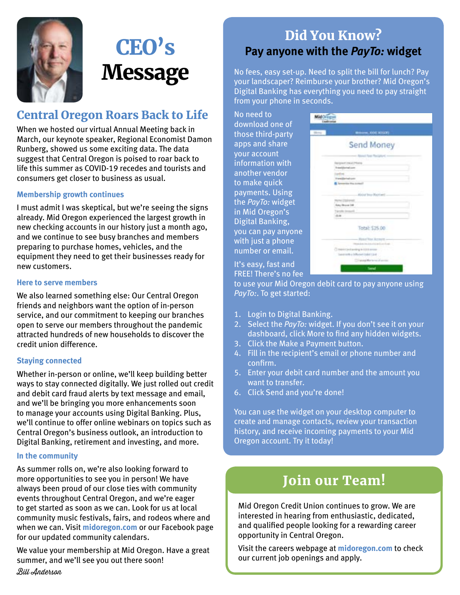

# CEO's **Message**

#### Central Oregon Roars Back to Life

When we hosted our virtual Annual Meeting back in March, our keynote speaker, Regional Economist Damon Runberg, showed us some exciting data. The data suggest that Central Oregon is poised to roar back to life this summer as COVID-19 recedes and tourists and consumers get closer to business as usual.

#### **Membership growth continues**

I must admit I was skeptical, but we're seeing the signs already. Mid Oregon experienced the largest growth in new checking accounts in our history just a month ago, and we continue to see busy branches and members preparing to purchase homes, vehicles, and the equipment they need to get their businesses ready for new customers.

#### **Here to serve members**

We also learned something else: Our Central Oregon friends and neighbors want the option of in-person service, and our commitment to keeping our branches open to serve our members throughout the pandemic attracted hundreds of new households to discover the credit union difference.

#### **Staying connected**

Whether in-person or online, we'll keep building better ways to stay connected digitally. We just rolled out credit and debit card fraud alerts by text message and email, and we'll be bringing you more enhancements soon to manage your accounts using Digital Banking. Plus, we'll continue to offer online webinars on topics such as Central Oregon's business outlook, an introduction to Digital Banking, retirement and investing, and more.

#### **In the community**

As summer rolls on, we're also looking forward to more opportunities to see you in person! We have always been proud of our close ties with community events throughout Central Oregon, and we're eager to get started as soon as we can. Look for us at local community music festivals, fairs, and rodeos where and when we can. Visit **midoregon.com** or our Facebook page for our updated community calendars.

We value your membership at Mid Oregon. Have a great summer, and we'll see you out there soon! Bill Anderson

### Did You Know? **Pay anyone with the** *PayTo:* **widget**

No fees, easy set-up. Need to split the bill for lunch? Pay your landscaper? Reimburse your brother? Mid Oregon's Digital Banking has everything you need to pay straight from your phone in seconds.

No need to download one of those third-party apps and share your account information with another vendor to make quick payments. Using the *PayTo:* widget in Mid Oregon's Digital Banking, you can pay anyone with just a phone number or email.

| How. | 1000, 1000, 803, 811                                                                |  |
|------|-------------------------------------------------------------------------------------|--|
|      | Send Money                                                                          |  |
|      | of Tea Recipied                                                                     |  |
|      | <b>Mary C. Printering</b><br><b>MILLION</b>                                         |  |
|      |                                                                                     |  |
|      |                                                                                     |  |
|      |                                                                                     |  |
|      | <b>Kining Tring Kapriseri</b>                                                       |  |
|      |                                                                                     |  |
|      |                                                                                     |  |
|      | 0.56                                                                                |  |
|      |                                                                                     |  |
|      | Total: \$15.00.                                                                     |  |
|      |                                                                                     |  |
|      | of Winas, Martin                                                                    |  |
|      |                                                                                     |  |
|      | Clinterio classification in this person<br>Tuesdo in the 1 Diffusion to plan 1 2 of |  |

It's easy, fast and FREE! There's no fee

to use your Mid Oregon debit card to pay anyone using *PayTo:*. To get started:

- 1. Login to Digital Banking.
- 2. Select the *PayTo:* widget. If you don't see it on your dashboard, click More to find any hidden widgets.
- 3. Click the Make a Payment button.
- 4. Fill in the recipient's email or phone number and confirm.
- 5. Enter your debit card number and the amount you want to transfer.
- 6. Click Send and you're done!

You can use the widget on your desktop computer to create and manage contacts, review your transaction history, and receive incoming payments to your Mid Oregon account. Try it today!

### Join our Team!

Mid Oregon Credit Union continues to grow. We are interested in hearing from enthusiastic, dedicated, and qualified people looking for a rewarding career opportunity in Central Oregon.

Visit the careers webpage at **midoregon.com** to check our current job openings and apply.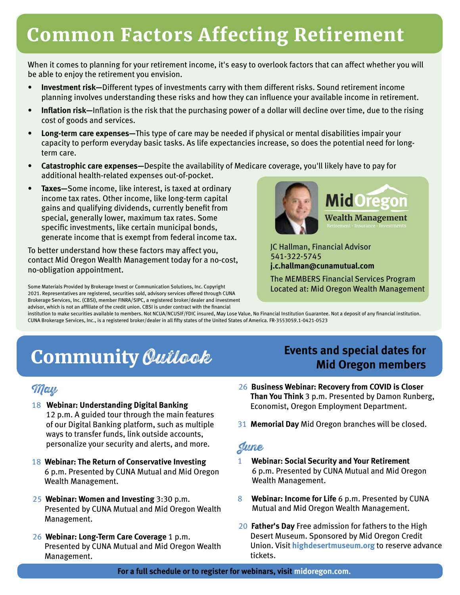## Common Factors Affecting Retirement

When it comes to planning for your retirement income, it's easy to overlook factors that can affect whether you will be able to enjoy the retirement you envision.

- **Investment risk—**Different types of investments carry with them different risks. Sound retirement income planning involves understanding these risks and how they can influence your available income in retirement.
- **Inflation risk—**Inflation is the risk that the purchasing power of a dollar will decline over time, due to the rising cost of goods and services.
- **Long-term care expenses—**This type of care may be needed if physical or mental disabilities impair your capacity to perform everyday basic tasks. As life expectancies increase, so does the potential need for longterm care.
- **Catastrophic care expenses—**Despite the availability of Medicare coverage, you'll likely have to pay for additional health-related expenses out-of-pocket.
- **Taxes—**Some income, like interest, is taxed at ordinary income tax rates. Other income, like long-term capital gains and qualifying dividends, currently benefit from special, generally lower, maximum tax rates. Some specific investments, like certain municipal bonds, generate income that is exempt from federal income tax.

To better understand how these factors may affect you, contact Mid Oregon Wealth Management today for a no-cost, no-obligation appointment.

Some Materials Provided by Brokerage Invest or Communication Solutions, Inc. Copyright 2021. Representatives are registered, securities sold, advisory services offered through CUNA Brokerage Services, Inc. (CBSI), member FINRA/SIPC, a registered broker/dealer and investment advisor, which is not an affiliate of the credit union. CBSI is under contract with the financial



JC Hallman, Financial Advisor 541-322-5745 **j.c.hallman@cunamutual.com**

The MEMBERS Financial Services Program Located at: Mid Oregon Wealth Management

institution to make securities available to members. Not NCUA/NCUSIF/FDIC insured, May Lose Value, No Financial Institution Guarantee. Not a deposit of any financial institution. CUNA Brokerage Services, Inc., is a registered broker/dealer in all fifty states of the United States of America. FR-3553059.1-0421-0523

## **Community Outlook** Events and special dates for

#### May

- 18 **Webinar: Understanding Digital Banking** 12 p.m. A guided tour through the main features of our Digital Banking platform, such as multiple ways to transfer funds, link outside accounts, personalize your security and alerts, and more.
- 18 **Webinar: The Return of Conservative Investing**  6 p.m. Presented by CUNA Mutual and Mid Oregon Wealth Management.
- 25 **Webinar: Women and Investing** 3:30 p.m. Presented by CUNA Mutual and Mid Oregon Wealth Management.
- 26 **Webinar: Long-Term Care Coverage** 1 p.m. Presented by CUNA Mutual and Mid Oregon Wealth Management.

# **Mid Oregon members**

- 26 **Business Webinar: Recovery from COVID is Closer Than You Think** 3 p.m. Presented by Damon Runberg, Economist, Oregon Employment Department.
- 31 **Memorial Day** Mid Oregon branches will be closed.

#### June

- 1 **Webinar: Social Security and Your Retirement** 6 p.m. Presented by CUNA Mutual and Mid Oregon Wealth Management.
- 8 **Webinar: Income for Life** 6 p.m. Presented by CUNA Mutual and Mid Oregon Wealth Management.
- 20 **Father's Day** Free admission for fathers to the High Desert Museum. Sponsored by Mid Oregon Credit Union. Visit **highdesertmuseum.org** to reserve advance tickets.